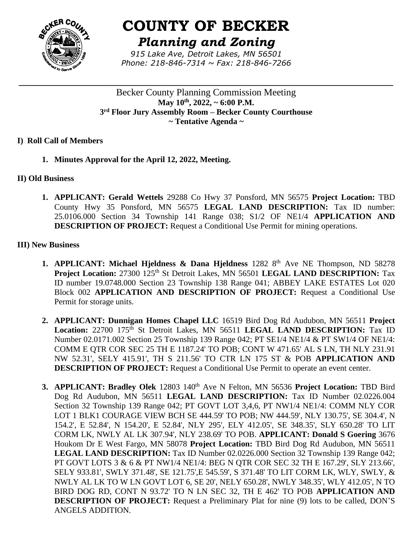

# **COUNTY OF BECKER**

*Planning and Zoning*

*915 Lake Ave, Detroit Lakes, MN 56501 Phone: 218-846-7314 ~ Fax: 218-846-7266*

**\_\_\_\_\_\_\_\_\_\_\_\_\_\_\_\_\_\_\_\_\_\_\_\_\_\_\_\_\_\_\_\_\_\_\_\_\_\_\_\_\_\_\_\_\_\_\_\_\_\_\_\_\_\_\_\_\_\_\_\_\_\_\_\_\_\_\_\_\_\_\_\_\_\_\_\_\_\_**

Becker County Planning Commission Meeting **May 10th , 2022, ~ 6:00 P.M. 3 rd Floor Jury Assembly Room – Becker County Courthouse ~ Tentative Agenda ~**

## **I) Roll Call of Members**

**1. Minutes Approval for the April 12, 2022, Meeting.**

## **II) Old Business**

**1. APPLICANT: Gerald Wettels** 29288 Co Hwy 37 Ponsford, MN 56575 **Project Location:** TBD County Hwy 35 Ponsford, MN 56575 **LEGAL LAND DESCRIPTION:** Tax ID number: 25.0106.000 Section 34 Township 141 Range 038; S1/2 OF NE1/4 **APPLICATION AND DESCRIPTION OF PROJECT:** Request a Conditional Use Permit for mining operations.

## **III) New Business**

- **1. APPLICANT: Michael Hjeldness & Dana Hjeldness** 1282 8<sup>th</sup> Ave NE Thompson, ND 58278 **Project Location:** 27300 125<sup>th</sup> St Detroit Lakes, MN 56501 **LEGAL LAND DESCRIPTION:** Tax ID number 19.0748.000 Section 23 Township 138 Range 041; ABBEY LAKE ESTATES Lot 020 Block 002 **APPLICATION AND DESCRIPTION OF PROJECT:** Request a Conditional Use Permit for storage units.
- **2. APPLICANT: Dunnigan Homes Chapel LLC** 16519 Bird Dog Rd Audubon, MN 56511 **Project**  Location: 22700 175<sup>th</sup> St Detroit Lakes, MN 56511 LEGAL LAND DESCRIPTION: Tax ID Number 02.0171.002 Section 25 Township 139 Range 042; PT SE1/4 NE1/4 & PT SW1/4 OF NE1/4: COMM E QTR COR SEC 25 TH E 1187.24' TO POB; CONT W 471.65' AL S LN, TH NLY 231.91 NW 52.31', SELY 415.91', TH S 211.56' TO CTR LN 175 ST & POB **APPLICATION AND DESCRIPTION OF PROJECT:** Request a Conditional Use Permit to operate an event center.
- **3. APPLICANT: Bradley Olek** 12803 140<sup>th</sup> Ave N Felton, MN 56536 Project Location: TBD Bird Dog Rd Audubon, MN 56511 **LEGAL LAND DESCRIPTION:** Tax ID Number 02.0226.004 Section 32 Township 139 Range 042; PT GOVT LOT 3,4,6, PT NW1/4 NE1/4: COMM NLY COR LOT 1 BLK1 COURAGE VIEW BCH SE 444.59' TO POB; NW 444.59', NLY 130.75', SE 304.4', N 154.2', E 52.84', N 154.20', E 52.84', NLY 295', ELY 412.05', SE 348.35', SLY 650.28' TO LIT CORM LK, NWLY AL LK 307.94', NLY 238.69' TO POB. **APPLICANT: Donald S Goering** 3676 Houkom Dr E West Fargo, MN 58078 **Project Location:** TBD Bird Dog Rd Audubon, MN 56511 **LEGAL LAND DESCRIPTION:** Tax ID Number 02.0226.000 Section 32 Township 139 Range 042; PT GOVT LOTS 3 & 6 & PT NW1/4 NE1/4: BEG N QTR COR SEC 32 TH E 167.29', SLY 213.66', SELY 933.81', SWLY 371.48', SE 121.75',E 545.59', S 371.48' TO LIT CORM LK, WLY, SWLY, & NWLY AL LK TO W LN GOVT LOT 6, SE 20', NELY 650.28', NWLY 348.35', WLY 412.05', N TO BIRD DOG RD, CONT N 93.72' TO N LN SEC 32, TH E 462' TO POB **APPLICATION AND DESCRIPTION OF PROJECT:** Request a Preliminary Plat for nine (9) lots to be called, DON'S ANGELS ADDITION.